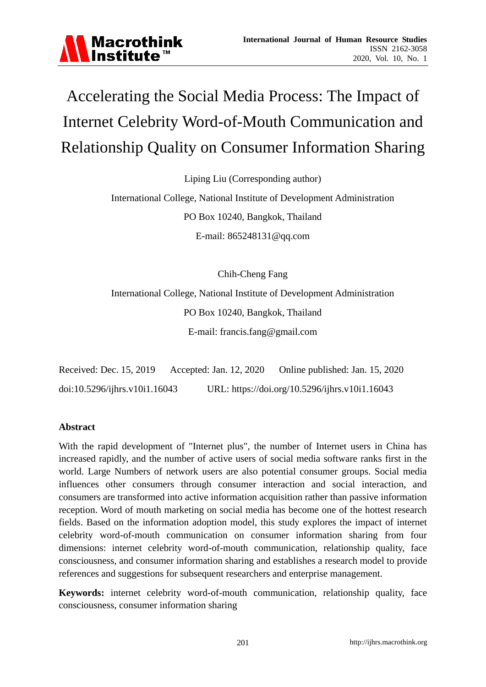

# Accelerating the Social Media Process: The Impact of Internet Celebrity Word-of-Mouth Communication and Relationship Quality on Consumer Information Sharing

Liping Liu (Corresponding author)

International College, National Institute of Development Administration PO Box 10240, Bangkok, Thailand E-mail: 865248131@qq.com

Chih-Cheng Fang

International College, National Institute of Development Administration PO Box 10240, Bangkok, Thailand E-mail: francis.fang@gmail.com

Received: Dec. 15, 2019 Accepted: Jan. 12, 2020 Online published: Jan. 15, 2020 doi:10.5296/ijhrs.v10i1.16043 URL: https://doi.org/10.5296/ijhrs.v10i1.16043

#### **Abstract**

With the rapid development of "Internet plus", the number of Internet users in China has increased rapidly, and the number of active users of social media software ranks first in the world. Large Numbers of network users are also potential consumer groups. Social media influences other consumers through consumer interaction and social interaction, and consumers are transformed into active information acquisition rather than passive information reception. Word of mouth marketing on social media has become one of the hottest research fields. Based on the information adoption model, this study explores the impact of internet celebrity word-of-mouth communication on consumer information sharing from four dimensions: internet celebrity word-of-mouth communication, relationship quality, face consciousness, and consumer information sharing and establishes a research model to provide references and suggestions for subsequent researchers and enterprise management.

**Keywords:** internet celebrity word-of-mouth communication, relationship quality, face consciousness, consumer information sharing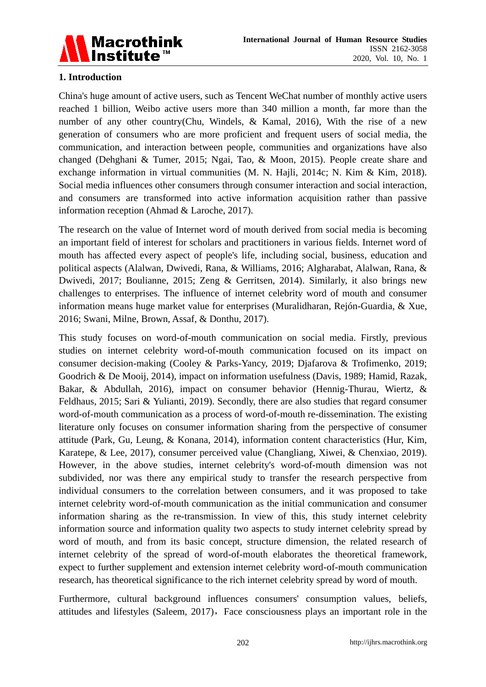

# **1. Introduction**

China's huge amount of active users, such as Tencent WeChat number of monthly active users reached 1 billion, Weibo active users more than 340 million a month, far more than the number of any other country(Chu, Windels, & Kamal, 2016), With the rise of a new generation of consumers who are more proficient and frequent users of social media, the communication, and interaction between people, communities and organizations have also changed (Dehghani & Tumer, 2015; Ngai, Tao, & Moon, 2015). People create share and exchange information in virtual communities (M. N. Hajli, 2014c; N. Kim & Kim, 2018). Social media influences other consumers through consumer interaction and social interaction, and consumers are transformed into active information acquisition rather than passive information reception (Ahmad & Laroche, 2017).

The research on the value of Internet word of mouth derived from social media is becoming an important field of interest for scholars and practitioners in various fields. Internet word of mouth has affected every aspect of people's life, including social, business, education and political aspects (Alalwan, Dwivedi, Rana, & Williams, 2016; Algharabat, Alalwan, Rana, & Dwivedi, 2017; Boulianne, 2015; Zeng & Gerritsen, 2014). Similarly, it also brings new challenges to enterprises. The influence of internet celebrity word of mouth and consumer information means huge market value for enterprises (Muralidharan, Rejón-Guardia, & Xue, 2016; Swani, Milne, Brown, Assaf, & Donthu, 2017).

This study focuses on word-of-mouth communication on social media. Firstly, previous studies on internet celebrity word-of-mouth communication focused on its impact on consumer decision-making (Cooley & Parks-Yancy, 2019; Djafarova & Trofimenko, 2019; Goodrich & De Mooij, 2014), impact on information usefulness (Davis, 1989; Hamid, Razak, Bakar, & Abdullah, 2016), impact on consumer behavior (Hennig-Thurau, Wiertz, & Feldhaus, 2015; Sari & Yulianti, 2019). Secondly, there are also studies that regard consumer word-of-mouth communication as a process of word-of-mouth re-dissemination. The existing literature only focuses on consumer information sharing from the perspective of consumer attitude (Park, Gu, Leung, & Konana, 2014), information content characteristics (Hur, Kim, Karatepe, & Lee, 2017), consumer perceived value (Changliang, Xiwei, & Chenxiao, 2019). However, in the above studies, internet celebrity's word-of-mouth dimension was not subdivided, nor was there any empirical study to transfer the research perspective from individual consumers to the correlation between consumers, and it was proposed to take internet celebrity word-of-mouth communication as the initial communication and consumer information sharing as the re-transmission. In view of this, this study internet celebrity information source and information quality two aspects to study internet celebrity spread by word of mouth, and from its basic concept, structure dimension, the related research of internet celebrity of the spread of word-of-mouth elaborates the theoretical framework, expect to further supplement and extension internet celebrity word-of-mouth communication research, has theoretical significance to the rich internet celebrity spread by word of mouth.

Furthermore, cultural background influences consumers' consumption values, beliefs, attitudes and lifestyles (Saleem, 2017), Face consciousness plays an important role in the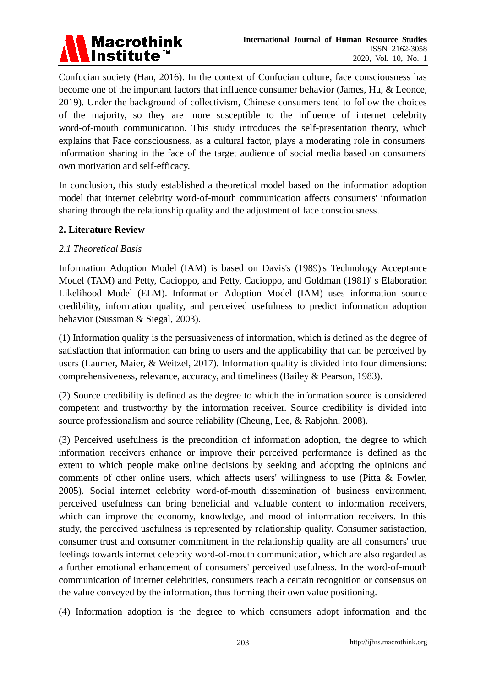

Confucian society (Han, 2016). In the context of Confucian culture, face consciousness has become one of the important factors that influence consumer behavior (James, Hu, & Leonce, 2019). Under the background of collectivism, Chinese consumers tend to follow the choices of the majority, so they are more susceptible to the influence of internet celebrity word-of-mouth communication. This study introduces the self-presentation theory, which explains that Face consciousness, as a cultural factor, plays a moderating role in consumers' information sharing in the face of the target audience of social media based on consumers' own motivation and self-efficacy.

In conclusion, this study established a theoretical model based on the information adoption model that internet celebrity word-of-mouth communication affects consumers' information sharing through the relationship quality and the adjustment of face consciousness.

## **2. Literature Review**

#### *2.1 Theoretical Basis*

Information Adoption Model (IAM) is based on Davis's (1989)'s Technology Acceptance Model (TAM) and Petty, Cacioppo, and Petty, Cacioppo, and Goldman (1981)' s Elaboration Likelihood Model (ELM). Information Adoption Model (IAM) uses information source credibility, information quality, and perceived usefulness to predict information adoption behavior (Sussman & Siegal, 2003).

(1) Information quality is the persuasiveness of information, which is defined as the degree of satisfaction that information can bring to users and the applicability that can be perceived by users (Laumer, Maier, & Weitzel, 2017). Information quality is divided into four dimensions: comprehensiveness, relevance, accuracy, and timeliness (Bailey & Pearson, 1983).

(2) Source credibility is defined as the degree to which the information source is considered competent and trustworthy by the information receiver. Source credibility is divided into source professionalism and source reliability (Cheung, Lee, & Rabjohn, 2008).

(3) Perceived usefulness is the precondition of information adoption, the degree to which information receivers enhance or improve their perceived performance is defined as the extent to which people make online decisions by seeking and adopting the opinions and comments of other online users, which affects users' willingness to use (Pitta & Fowler, 2005). Social internet celebrity word-of-mouth dissemination of business environment, perceived usefulness can bring beneficial and valuable content to information receivers, which can improve the economy, knowledge, and mood of information receivers. In this study, the perceived usefulness is represented by relationship quality. Consumer satisfaction, consumer trust and consumer commitment in the relationship quality are all consumers' true feelings towards internet celebrity word-of-mouth communication, which are also regarded as a further emotional enhancement of consumers' perceived usefulness. In the word-of-mouth communication of internet celebrities, consumers reach a certain recognition or consensus on the value conveyed by the information, thus forming their own value positioning.

(4) Information adoption is the degree to which consumers adopt information and the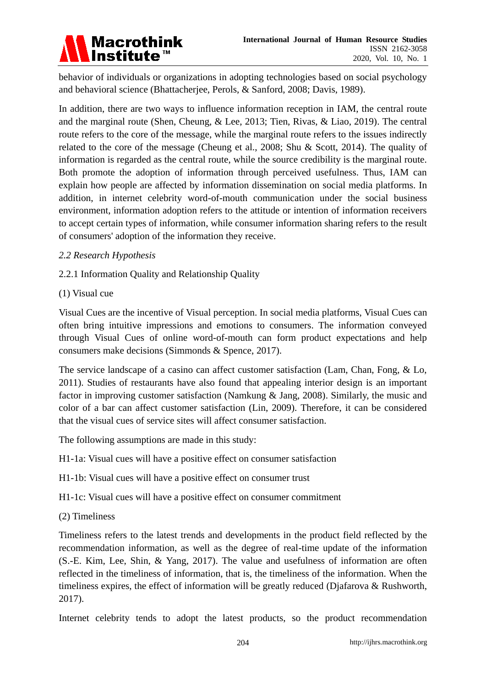

behavior of individuals or organizations in adopting technologies based on social psychology and behavioral science (Bhattacherjee, Perols, & Sanford, 2008; Davis, 1989).

In addition, there are two ways to influence information reception in IAM, the central route and the marginal route (Shen, Cheung, & Lee, 2013; Tien, Rivas, & Liao, 2019). The central route refers to the core of the message, while the marginal route refers to the issues indirectly related to the core of the message (Cheung et al., 2008; Shu & Scott, 2014). The quality of information is regarded as the central route, while the source credibility is the marginal route. Both promote the adoption of information through perceived usefulness. Thus, IAM can explain how people are affected by information dissemination on social media platforms. In addition, in internet celebrity word-of-mouth communication under the social business environment, information adoption refers to the attitude or intention of information receivers to accept certain types of information, while consumer information sharing refers to the result of consumers' adoption of the information they receive.

## *2.2 Research Hypothesis*

## 2.2.1 Information Quality and Relationship Quality

#### (1) Visual cue

Visual Cues are the incentive of Visual perception. In social media platforms, Visual Cues can often bring intuitive impressions and emotions to consumers. The information conveyed through Visual Cues of online word-of-mouth can form product expectations and help consumers make decisions (Simmonds & Spence, 2017).

The service landscape of a casino can affect customer satisfaction (Lam, Chan, Fong, & Lo, 2011). Studies of restaurants have also found that appealing interior design is an important factor in improving customer satisfaction (Namkung & Jang, 2008). Similarly, the music and color of a bar can affect customer satisfaction (Lin, 2009). Therefore, it can be considered that the visual cues of service sites will affect consumer satisfaction.

The following assumptions are made in this study:

H1-1a: Visual cues will have a positive effect on consumer satisfaction

H1-1b: Visual cues will have a positive effect on consumer trust

H1-1c: Visual cues will have a positive effect on consumer commitment

(2) Timeliness

Timeliness refers to the latest trends and developments in the product field reflected by the recommendation information, as well as the degree of real-time update of the information (S.-E. Kim, Lee, Shin, & Yang, 2017). The value and usefulness of information are often reflected in the timeliness of information, that is, the timeliness of the information. When the timeliness expires, the effect of information will be greatly reduced (Djafarova & Rushworth, 2017).

Internet celebrity tends to adopt the latest products, so the product recommendation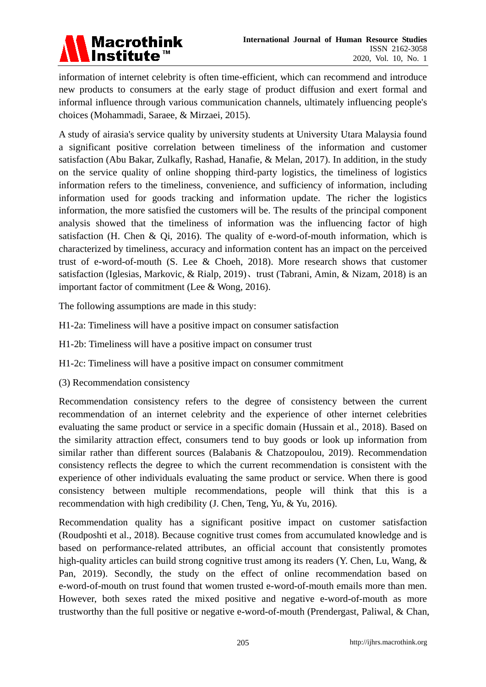

information of internet celebrity is often time-efficient, which can recommend and introduce new products to consumers at the early stage of product diffusion and exert formal and informal influence through various communication channels, ultimately influencing people's choices (Mohammadi, Saraee, & Mirzaei, 2015).

A study of airasia's service quality by university students at University Utara Malaysia found a significant positive correlation between timeliness of the information and customer satisfaction (Abu Bakar, Zulkafly, Rashad, Hanafie, & Melan, 2017). In addition, in the study on the service quality of online shopping third-party logistics, the timeliness of logistics information refers to the timeliness, convenience, and sufficiency of information, including information used for goods tracking and information update. The richer the logistics information, the more satisfied the customers will be. The results of the principal component analysis showed that the timeliness of information was the influencing factor of high satisfaction (H. Chen & Qi, 2016). The quality of e-word-of-mouth information, which is characterized by timeliness, accuracy and information content has an impact on the perceived trust of e-word-of-mouth (S. Lee & Choeh, 2018). More research shows that customer satisfaction (Iglesias, Markovic, & Rialp, 2019)、trust (Tabrani, Amin, & Nizam, 2018) is an important factor of commitment (Lee & Wong, 2016).

The following assumptions are made in this study:

- H1-2a: Timeliness will have a positive impact on consumer satisfaction
- H1-2b: Timeliness will have a positive impact on consumer trust
- H1-2c: Timeliness will have a positive impact on consumer commitment
- (3) Recommendation consistency

Recommendation consistency refers to the degree of consistency between the current recommendation of an internet celebrity and the experience of other internet celebrities evaluating the same product or service in a specific domain (Hussain et al., 2018). Based on the similarity attraction effect, consumers tend to buy goods or look up information from similar rather than different sources (Balabanis & Chatzopoulou, 2019). Recommendation consistency reflects the degree to which the current recommendation is consistent with the experience of other individuals evaluating the same product or service. When there is good consistency between multiple recommendations, people will think that this is a recommendation with high credibility (J. Chen, Teng, Yu, & Yu, 2016).

Recommendation quality has a significant positive impact on customer satisfaction (Roudposhti et al., 2018). Because cognitive trust comes from accumulated knowledge and is based on performance-related attributes, an official account that consistently promotes high-quality articles can build strong cognitive trust among its readers (Y. Chen, Lu, Wang, & Pan, 2019). Secondly, the study on the effect of online recommendation based on e-word-of-mouth on trust found that women trusted e-word-of-mouth emails more than men. However, both sexes rated the mixed positive and negative e-word-of-mouth as more trustworthy than the full positive or negative e-word-of-mouth (Prendergast, Paliwal, & Chan,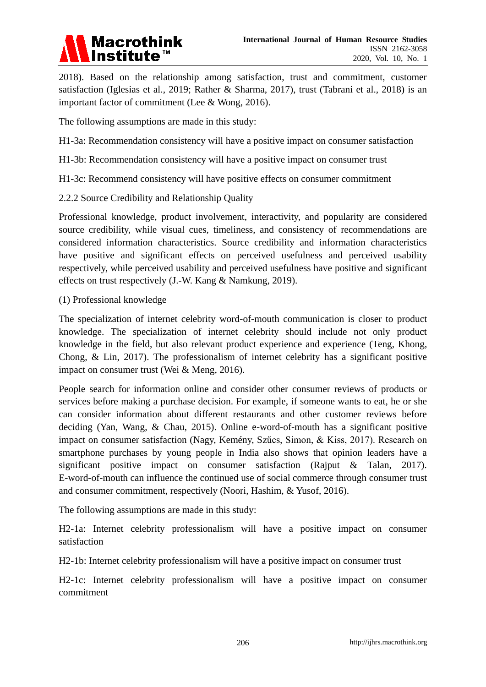

2018). Based on the relationship among satisfaction, trust and commitment, customer satisfaction (Iglesias et al., 2019; Rather & Sharma, 2017), trust (Tabrani et al., 2018) is an important factor of commitment (Lee & Wong, 2016).

The following assumptions are made in this study:

- H1-3a: Recommendation consistency will have a positive impact on consumer satisfaction
- H1-3b: Recommendation consistency will have a positive impact on consumer trust
- H1-3c: Recommend consistency will have positive effects on consumer commitment
- 2.2.2 Source Credibility and Relationship Quality

Professional knowledge, product involvement, interactivity, and popularity are considered source credibility, while visual cues, timeliness, and consistency of recommendations are considered information characteristics. Source credibility and information characteristics have positive and significant effects on perceived usefulness and perceived usability respectively, while perceived usability and perceived usefulness have positive and significant effects on trust respectively (J.-W. Kang & Namkung, 2019).

(1) Professional knowledge

The specialization of internet celebrity word-of-mouth communication is closer to product knowledge. The specialization of internet celebrity should include not only product knowledge in the field, but also relevant product experience and experience (Teng, Khong, Chong, & Lin, 2017). The professionalism of internet celebrity has a significant positive impact on consumer trust (Wei & Meng, 2016).

People search for information online and consider other consumer reviews of products or services before making a purchase decision. For example, if someone wants to eat, he or she can consider information about different restaurants and other customer reviews before deciding (Yan, Wang, & Chau, 2015). Online e-word-of-mouth has a significant positive impact on consumer satisfaction (Nagy, Kemény, Szűcs, Simon, & Kiss, 2017). Research on smartphone purchases by young people in India also shows that opinion leaders have a significant positive impact on consumer satisfaction (Rajput & Talan, 2017). E-word-of-mouth can influence the continued use of social commerce through consumer trust and consumer commitment, respectively (Noori, Hashim, & Yusof, 2016).

The following assumptions are made in this study:

H2-1a: Internet celebrity professionalism will have a positive impact on consumer satisfaction

H2-1b: Internet celebrity professionalism will have a positive impact on consumer trust

H2-1c: Internet celebrity professionalism will have a positive impact on consumer commitment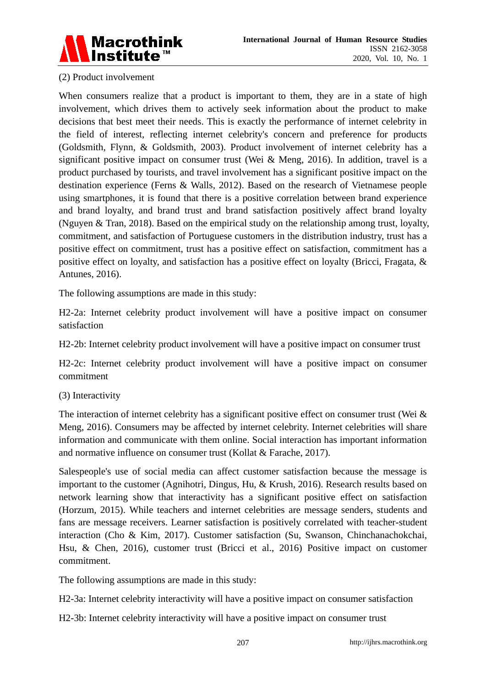

## (2) Product involvement

When consumers realize that a product is important to them, they are in a state of high involvement, which drives them to actively seek information about the product to make decisions that best meet their needs. This is exactly the performance of internet celebrity in the field of interest, reflecting internet celebrity's concern and preference for products (Goldsmith, Flynn, & Goldsmith, 2003). Product involvement of internet celebrity has a significant positive impact on consumer trust (Wei & Meng, 2016). In addition, travel is a product purchased by tourists, and travel involvement has a significant positive impact on the destination experience (Ferns & Walls, 2012). Based on the research of Vietnamese people using smartphones, it is found that there is a positive correlation between brand experience and brand loyalty, and brand trust and brand satisfaction positively affect brand loyalty (Nguyen & Tran, 2018). Based on the empirical study on the relationship among trust, loyalty, commitment, and satisfaction of Portuguese customers in the distribution industry, trust has a positive effect on commitment, trust has a positive effect on satisfaction, commitment has a positive effect on loyalty, and satisfaction has a positive effect on loyalty (Bricci, Fragata, & Antunes, 2016).

The following assumptions are made in this study:

H2-2a: Internet celebrity product involvement will have a positive impact on consumer satisfaction

H2-2b: Internet celebrity product involvement will have a positive impact on consumer trust

H2-2c: Internet celebrity product involvement will have a positive impact on consumer commitment

#### (3) Interactivity

The interaction of internet celebrity has a significant positive effect on consumer trust (Wei  $\&$ Meng, 2016). Consumers may be affected by internet celebrity. Internet celebrities will share information and communicate with them online. Social interaction has important information and normative influence on consumer trust (Kollat & Farache, 2017).

Salespeople's use of social media can affect customer satisfaction because the message is important to the customer (Agnihotri, Dingus, Hu, & Krush, 2016). Research results based on network learning show that interactivity has a significant positive effect on satisfaction (Horzum, 2015). While teachers and internet celebrities are message senders, students and fans are message receivers. Learner satisfaction is positively correlated with teacher-student interaction (Cho & Kim, 2017). Customer satisfaction (Su, Swanson, Chinchanachokchai, Hsu, & Chen, 2016), customer trust (Bricci et al., 2016) Positive impact on customer commitment.

The following assumptions are made in this study:

H2-3a: Internet celebrity interactivity will have a positive impact on consumer satisfaction

H2-3b: Internet celebrity interactivity will have a positive impact on consumer trust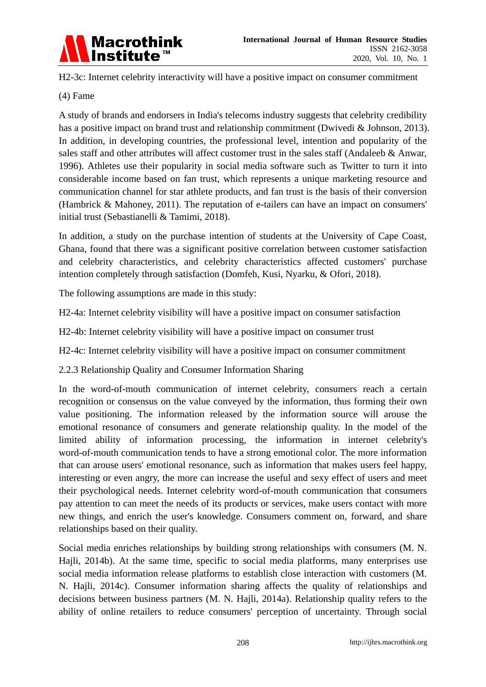

H2-3c: Internet celebrity interactivity will have a positive impact on consumer commitment

# (4) Fame

A study of brands and endorsers in India's telecoms industry suggests that celebrity credibility has a positive impact on brand trust and relationship commitment (Dwivedi & Johnson, 2013). In addition, in developing countries, the professional level, intention and popularity of the sales staff and other attributes will affect customer trust in the sales staff (Andaleeb & Anwar, 1996). Athletes use their popularity in social media software such as Twitter to turn it into considerable income based on fan trust, which represents a unique marketing resource and communication channel for star athlete products, and fan trust is the basis of their conversion (Hambrick & Mahoney, 2011). The reputation of e-tailers can have an impact on consumers' initial trust (Sebastianelli & Tamimi, 2018).

In addition, a study on the purchase intention of students at the University of Cape Coast, Ghana, found that there was a significant positive correlation between customer satisfaction and celebrity characteristics, and celebrity characteristics affected customers' purchase intention completely through satisfaction (Domfeh, Kusi, Nyarku, & Ofori, 2018).

The following assumptions are made in this study:

H2-4a: Internet celebrity visibility will have a positive impact on consumer satisfaction

H2-4b: Internet celebrity visibility will have a positive impact on consumer trust

H2-4c: Internet celebrity visibility will have a positive impact on consumer commitment

2.2.3 Relationship Quality and Consumer Information Sharing

In the word-of-mouth communication of internet celebrity, consumers reach a certain recognition or consensus on the value conveyed by the information, thus forming their own value positioning. The information released by the information source will arouse the emotional resonance of consumers and generate relationship quality. In the model of the limited ability of information processing, the information in internet celebrity's word-of-mouth communication tends to have a strong emotional color. The more information that can arouse users' emotional resonance, such as information that makes users feel happy, interesting or even angry, the more can increase the useful and sexy effect of users and meet their psychological needs. Internet celebrity word-of-mouth communication that consumers pay attention to can meet the needs of its products or services, make users contact with more new things, and enrich the user's knowledge. Consumers comment on, forward, and share relationships based on their quality.

Social media enriches relationships by building strong relationships with consumers (M. N. Hajli, 2014b). At the same time, specific to social media platforms, many enterprises use social media information release platforms to establish close interaction with customers (M. N. Hajli, 2014c). Consumer information sharing affects the quality of relationships and decisions between business partners (M. N. Hajli, 2014a). Relationship quality refers to the ability of online retailers to reduce consumers' perception of uncertainty. Through social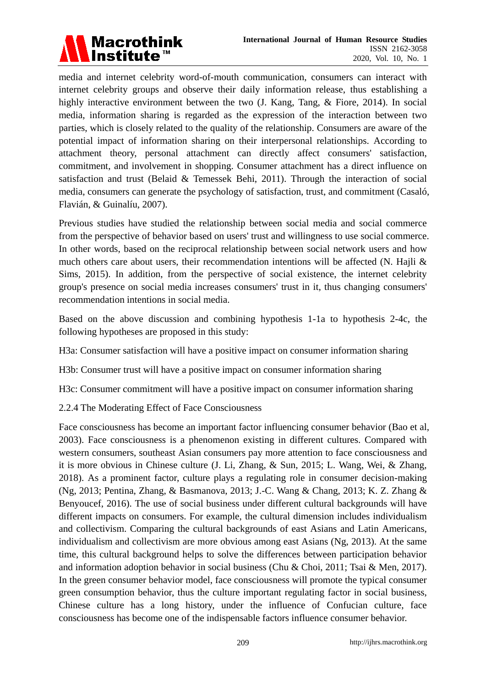

media and internet celebrity word-of-mouth communication, consumers can interact with internet celebrity groups and observe their daily information release, thus establishing a highly interactive environment between the two (J. Kang, Tang, & Fiore, 2014). In social media, information sharing is regarded as the expression of the interaction between two parties, which is closely related to the quality of the relationship. Consumers are aware of the potential impact of information sharing on their interpersonal relationships. According to attachment theory, personal attachment can directly affect consumers' satisfaction, commitment, and involvement in shopping. Consumer attachment has a direct influence on satisfaction and trust (Belaid & Temessek Behi, 2011). Through the interaction of social media, consumers can generate the psychology of satisfaction, trust, and commitment (Casaló, Flavián, & Guinal ú, 2007).

Previous studies have studied the relationship between social media and social commerce from the perspective of behavior based on users' trust and willingness to use social commerce. In other words, based on the reciprocal relationship between social network users and how much others care about users, their recommendation intentions will be affected (N. Hajli  $\&$ Sims, 2015). In addition, from the perspective of social existence, the internet celebrity group's presence on social media increases consumers' trust in it, thus changing consumers' recommendation intentions in social media.

Based on the above discussion and combining hypothesis 1-1a to hypothesis 2-4c, the following hypotheses are proposed in this study:

H3a: Consumer satisfaction will have a positive impact on consumer information sharing

H3b: Consumer trust will have a positive impact on consumer information sharing

H3c: Consumer commitment will have a positive impact on consumer information sharing

2.2.4 The Moderating Effect of Face Consciousness

Face consciousness has become an important factor influencing consumer behavior (Bao et al, 2003). Face consciousness is a phenomenon existing in different cultures. Compared with western consumers, southeast Asian consumers pay more attention to face consciousness and it is more obvious in Chinese culture (J. Li, Zhang, & Sun, 2015; L. Wang, Wei, & Zhang, 2018). As a prominent factor, culture plays a regulating role in consumer decision-making (Ng, 2013; Pentina, Zhang, & Basmanova, 2013; J.-C. Wang & Chang, 2013; K. Z. Zhang & Benyoucef, 2016). The use of social business under different cultural backgrounds will have different impacts on consumers. For example, the cultural dimension includes individualism and collectivism. Comparing the cultural backgrounds of east Asians and Latin Americans, individualism and collectivism are more obvious among east Asians (Ng, 2013). At the same time, this cultural background helps to solve the differences between participation behavior and information adoption behavior in social business (Chu & Choi, 2011; Tsai & Men, 2017). In the green consumer behavior model, face consciousness will promote the typical consumer green consumption behavior, thus the culture important regulating factor in social business, Chinese culture has a long history, under the influence of Confucian culture, face consciousness has become one of the indispensable factors influence consumer behavior.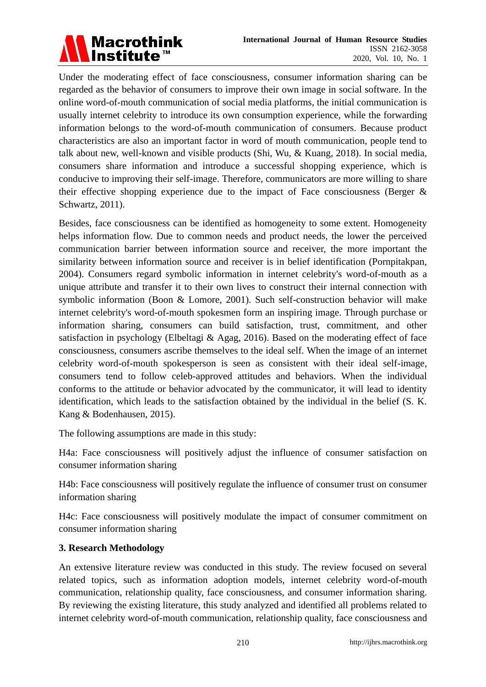

Under the moderating effect of face consciousness, consumer information sharing can be regarded as the behavior of consumers to improve their own image in social software. In the online word-of-mouth communication of social media platforms, the initial communication is usually internet celebrity to introduce its own consumption experience, while the forwarding information belongs to the word-of-mouth communication of consumers. Because product characteristics are also an important factor in word of mouth communication, people tend to talk about new, well-known and visible products (Shi, Wu, & Kuang, 2018). In social media, consumers share information and introduce a successful shopping experience, which is conducive to improving their self-image. Therefore, communicators are more willing to share their effective shopping experience due to the impact of Face consciousness (Berger & Schwartz, 2011).

Besides, face consciousness can be identified as homogeneity to some extent. Homogeneity helps information flow. Due to common needs and product needs, the lower the perceived communication barrier between information source and receiver, the more important the similarity between information source and receiver is in belief identification (Pornpitakpan, 2004). Consumers regard symbolic information in internet celebrity's word-of-mouth as a unique attribute and transfer it to their own lives to construct their internal connection with symbolic information (Boon & Lomore, 2001). Such self-construction behavior will make internet celebrity's word-of-mouth spokesmen form an inspiring image. Through purchase or information sharing, consumers can build satisfaction, trust, commitment, and other satisfaction in psychology (Elbeltagi & Agag, 2016). Based on the moderating effect of face consciousness, consumers ascribe themselves to the ideal self. When the image of an internet celebrity word-of-mouth spokesperson is seen as consistent with their ideal self-image, consumers tend to follow celeb-approved attitudes and behaviors. When the individual conforms to the attitude or behavior advocated by the communicator, it will lead to identity identification, which leads to the satisfaction obtained by the individual in the belief (S. K. Kang & Bodenhausen, 2015).

The following assumptions are made in this study:

H4a: Face consciousness will positively adjust the influence of consumer satisfaction on consumer information sharing

H4b: Face consciousness will positively regulate the influence of consumer trust on consumer information sharing

H4c: Face consciousness will positively modulate the impact of consumer commitment on consumer information sharing

## **3. Research Methodology**

An extensive literature review was conducted in this study. The review focused on several related topics, such as information adoption models, internet celebrity word-of-mouth communication, relationship quality, face consciousness, and consumer information sharing. By reviewing the existing literature, this study analyzed and identified all problems related to internet celebrity word-of-mouth communication, relationship quality, face consciousness and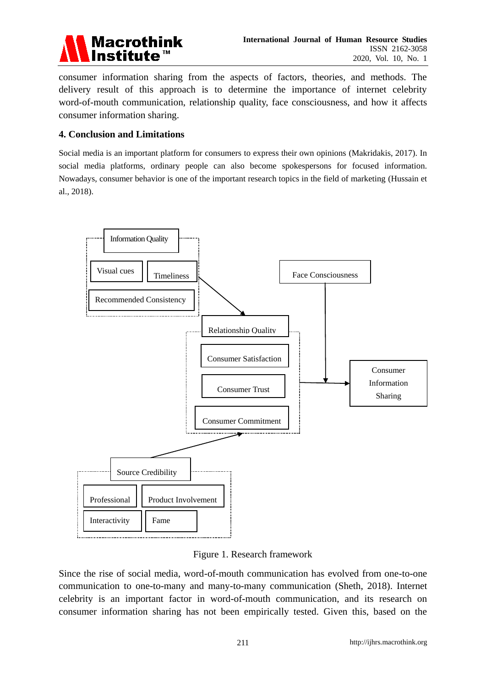

consumer information sharing from the aspects of factors, theories, and methods. The delivery result of this approach is to determine the importance of internet celebrity word-of-mouth communication, relationship quality, face consciousness, and how it affects consumer information sharing.

#### **4. Conclusion and Limitations**

Social media is an important platform for consumers to express their own opinions (Makridakis, 2017). In social media platforms, ordinary people can also become spokespersons for focused information. Nowadays, consumer behavior is one of the important research topics in the field of marketing (Hussain et al., 2018).



Figure 1. Research framework

Since the rise of social media, word-of-mouth communication has evolved from one-to-one communication to one-to-many and many-to-many communication (Sheth, 2018). Internet celebrity is an important factor in word-of-mouth communication, and its research on consumer information sharing has not been empirically tested. Given this, based on the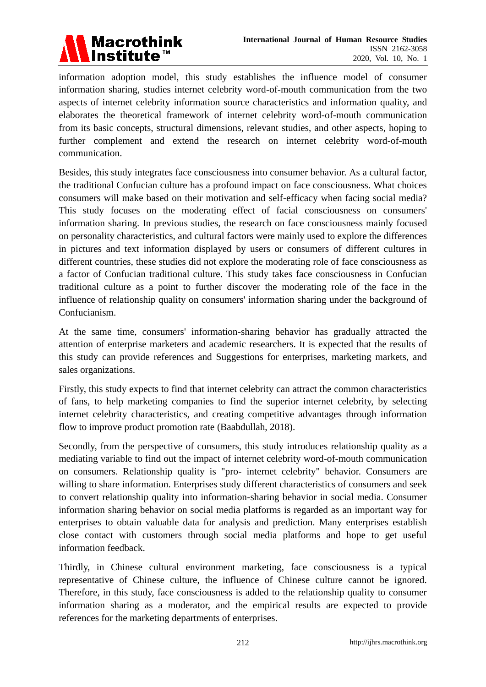

information adoption model, this study establishes the influence model of consumer information sharing, studies internet celebrity word-of-mouth communication from the two aspects of internet celebrity information source characteristics and information quality, and elaborates the theoretical framework of internet celebrity word-of-mouth communication from its basic concepts, structural dimensions, relevant studies, and other aspects, hoping to further complement and extend the research on internet celebrity word-of-mouth communication.

Besides, this study integrates face consciousness into consumer behavior. As a cultural factor, the traditional Confucian culture has a profound impact on face consciousness. What choices consumers will make based on their motivation and self-efficacy when facing social media? This study focuses on the moderating effect of facial consciousness on consumers' information sharing. In previous studies, the research on face consciousness mainly focused on personality characteristics, and cultural factors were mainly used to explore the differences in pictures and text information displayed by users or consumers of different cultures in different countries, these studies did not explore the moderating role of face consciousness as a factor of Confucian traditional culture. This study takes face consciousness in Confucian traditional culture as a point to further discover the moderating role of the face in the influence of relationship quality on consumers' information sharing under the background of Confucianism.

At the same time, consumers' information-sharing behavior has gradually attracted the attention of enterprise marketers and academic researchers. It is expected that the results of this study can provide references and Suggestions for enterprises, marketing markets, and sales organizations.

Firstly, this study expects to find that internet celebrity can attract the common characteristics of fans, to help marketing companies to find the superior internet celebrity, by selecting internet celebrity characteristics, and creating competitive advantages through information flow to improve product promotion rate (Baabdullah, 2018).

Secondly, from the perspective of consumers, this study introduces relationship quality as a mediating variable to find out the impact of internet celebrity word-of-mouth communication on consumers. Relationship quality is "pro- internet celebrity" behavior. Consumers are willing to share information. Enterprises study different characteristics of consumers and seek to convert relationship quality into information-sharing behavior in social media. Consumer information sharing behavior on social media platforms is regarded as an important way for enterprises to obtain valuable data for analysis and prediction. Many enterprises establish close contact with customers through social media platforms and hope to get useful information feedback.

Thirdly, in Chinese cultural environment marketing, face consciousness is a typical representative of Chinese culture, the influence of Chinese culture cannot be ignored. Therefore, in this study, face consciousness is added to the relationship quality to consumer information sharing as a moderator, and the empirical results are expected to provide references for the marketing departments of enterprises.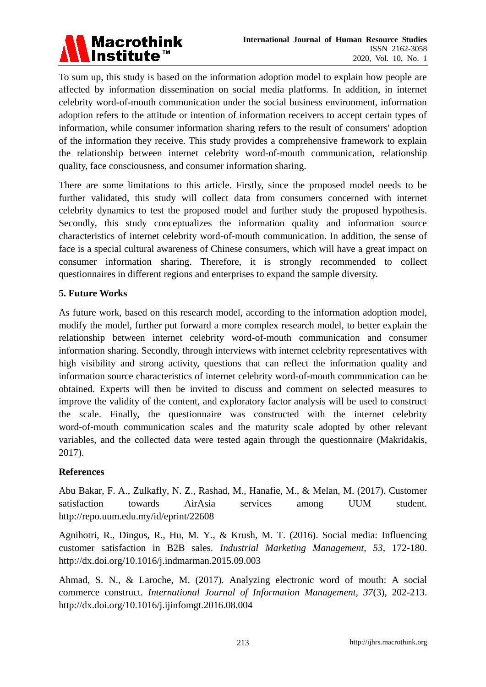

To sum up, this study is based on the information adoption model to explain how people are affected by information dissemination on social media platforms. In addition, in internet celebrity word-of-mouth communication under the social business environment, information adoption refers to the attitude or intention of information receivers to accept certain types of information, while consumer information sharing refers to the result of consumers' adoption of the information they receive. This study provides a comprehensive framework to explain the relationship between internet celebrity word-of-mouth communication, relationship quality, face consciousness, and consumer information sharing.

There are some limitations to this article. Firstly, since the proposed model needs to be further validated, this study will collect data from consumers concerned with internet celebrity dynamics to test the proposed model and further study the proposed hypothesis. Secondly, this study conceptualizes the information quality and information source characteristics of internet celebrity word-of-mouth communication. In addition, the sense of face is a special cultural awareness of Chinese consumers, which will have a great impact on consumer information sharing. Therefore, it is strongly recommended to collect questionnaires in different regions and enterprises to expand the sample diversity.

# **5. Future Works**

As future work, based on this research model, according to the information adoption model, modify the model, further put forward a more complex research model, to better explain the relationship between internet celebrity word-of-mouth communication and consumer information sharing. Secondly, through interviews with internet celebrity representatives with high visibility and strong activity, questions that can reflect the information quality and information source characteristics of internet celebrity word-of-mouth communication can be obtained. Experts will then be invited to discuss and comment on selected measures to improve the validity of the content, and exploratory factor analysis will be used to construct the scale. Finally, the questionnaire was constructed with the internet celebrity word-of-mouth communication scales and the maturity scale adopted by other relevant variables, and the collected data were tested again through the questionnaire (Makridakis, 2017).

## **References**

Abu Bakar, F. A., Zulkafly, N. Z., Rashad, M., Hanafie, M., & Melan, M. (2017). Customer satisfaction towards AirAsia services among UUM student. http://repo.uum.edu.my/id/eprint/22608

Agnihotri, R., Dingus, R., Hu, M. Y., & Krush, M. T. (2016). Social media: Influencing customer satisfaction in B2B sales. *Industrial Marketing Management, 53*, 172-180. [http://dx.doi.org/10.1016/j.indmarman.2015.09.003](https://doi.org/10.1016/j.indmarman.2015.09.003)

Ahmad, S. N., & Laroche, M. (2017). Analyzing electronic word of mouth: A social commerce construct. *International Journal of Information Management, 37*(3), 202-213. http://dx.doi.org/10.1016/j.ijinfomgt.2016.08.004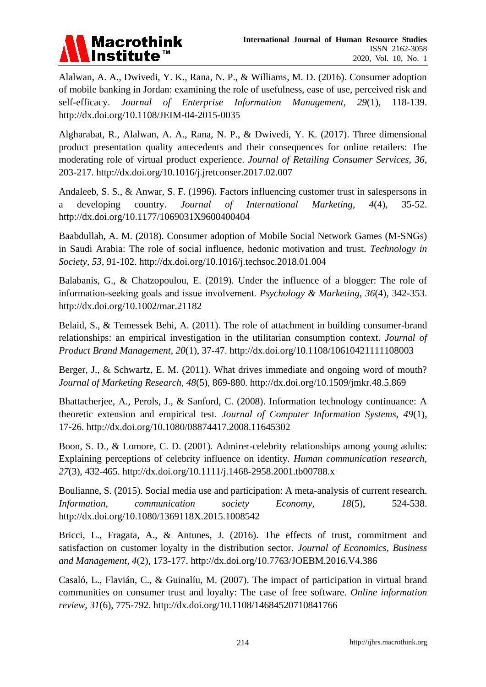

Alalwan, A. A., Dwivedi, Y. K., Rana, N. P., & Williams, M. D. (2016). Consumer adoption of mobile banking in Jordan: examining the role of usefulness, ease of use, perceived risk and self-efficacy. *Journal of Enterprise Information Management, 29*(1), 118-139. http://dx.doi.org/10.1108/JEIM-04-2015-0035

Algharabat, R., Alalwan, A. A., Rana, N. P., & Dwivedi, Y. K. (2017). Three dimensional product presentation quality antecedents and their consequences for online retailers: The moderating role of virtual product experience. *Journal of Retailing Consumer Services, 36*, 203-217. http://dx.doi.org/10.1016/j.jretconser.2017.02.007

Andaleeb, S. S., & Anwar, S. F. (1996). Factors influencing customer trust in salespersons in a developing country. *Journal of International Marketing, 4*(4), 35-52. http://dx.doi.org/10.1177/1069031X9600400404

Baabdullah, A. M. (2018). Consumer adoption of Mobile Social Network Games (M-SNGs) in Saudi Arabia: The role of social influence, hedonic motivation and trust. *Technology in Society, 53*, 91-102. http://dx.doi.org/10.1016/j.techsoc.2018.01.004

Balabanis, G., & Chatzopoulou, E. (2019). Under the influence of a blogger: The role of information‐seeking goals and issue involvement. *Psychology & Marketing, 36*(4), 342-353. http://dx.doi.org/10.1002/mar.21182

Belaid, S., & Temessek Behi, A. (2011). The role of attachment in building consumer-brand relationships: an empirical investigation in the utilitarian consumption context. *Journal of Product Brand Management, 20*(1), 37-47. http://dx.doi.org/10.1108/10610421111108003

Berger, J., & Schwartz, E. M. (2011). What drives immediate and ongoing word of mouth? *Journal of Marketing Research, 48*(5), 869-880. http://dx.doi.org/10.1509/jmkr.48.5.869

Bhattacherjee, A., Perols, J., & Sanford, C. (2008). Information technology continuance: A theoretic extension and empirical test. *Journal of Computer Information Systems, 49*(1), 17-26. http://dx.doi.org/10.1080/08874417.2008.11645302

Boon, S. D., & Lomore, C. D. (2001). Admirer-celebrity relationships among young adults: Explaining perceptions of celebrity influence on identity. *Human communication research, 27*(3), 432-465. http://dx.doi.org/10.1111/j.1468-2958.2001.tb00788.x

Boulianne, S. (2015). Social media use and participation: A meta-analysis of current research. *Information, communication society Economy, 18*(5), 524-538. http://dx.doi.org/10.1080/1369118X.2015.1008542

Bricci, L., Fragata, A., & Antunes, J. (2016). The effects of trust, commitment and satisfaction on customer loyalty in the distribution sector. *Journal of Economics, Business and Management, 4*(2), 173-177. http://dx.doi.org/10.7763/JOEBM.2016.V4.386

Casaló, L., Flavián, C., & Guinal ú, M. (2007). The impact of participation in virtual brand communities on consumer trust and loyalty: The case of free software. *Online information review, 31*(6), 775-792. http://dx.doi.org/10.1108/14684520710841766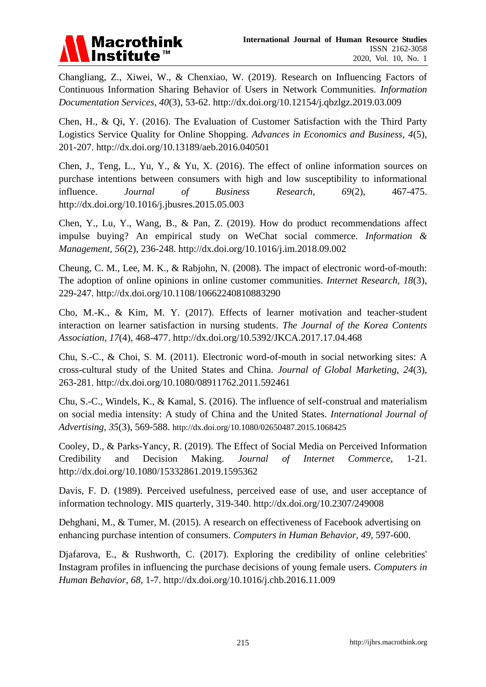

Changliang, Z., Xiwei, W., & Chenxiao, W. (2019). Research on Influencing Factors of Continuous Information Sharing Behavior of Users in Network Communities. *Information Documentation Services, 40*(3), 53-62. http://dx.doi.org/10.12154/j.qbzlgz.2019.03.009

Chen, H., & Qi, Y. (2016). The Evaluation of Customer Satisfaction with the Third Party Logistics Service Quality for Online Shopping. *Advances in Economics and Business, 4*(5), 201-207. http://dx.doi.org/10.13189/aeb.2016.040501

Chen, J., Teng, L., Yu, Y., & Yu, X. (2016). The effect of online information sources on purchase intentions between consumers with high and low susceptibility to informational influence. *Journal of Business Research, 69*(2), 467-475. http://dx.doi.org/10.1016/j.jbusres.2015.05.003

Chen, Y., Lu, Y., Wang, B., & Pan, Z. (2019). How do product recommendations affect impulse buying? An empirical study on WeChat social commerce. *Information & Management, 56*(2), 236-248. http://dx.doi.org/10.1016/j.im.2018.09.002

Cheung, C. M., Lee, M. K., & Rabjohn, N. (2008). The impact of electronic word-of-mouth: The adoption of online opinions in online customer communities. *Internet Research, 18*(3), 229-247. http://dx.doi.org/10.1108/10662240810883290

Cho, M.-K., & Kim, M. Y. (2017). Effects of learner motivation and teacher-student interaction on learner satisfaction in nursing students. *The Journal of the Korea Contents Association, 17*(4), 468-477. http://dx.doi.org/10.5392/JKCA.2017.17.04.468

Chu, S.-C., & Choi, S. M. (2011). Electronic word-of-mouth in social networking sites: A cross-cultural study of the United States and China. *Journal of Global Marketing, 24*(3), 263-281. http://dx.doi.org/10.1080/08911762.2011.592461

Chu, S.-C., Windels, K., & Kamal, S. (2016). The influence of self-construal and materialism on social media intensity: A study of China and the United States. *International Journal of Advertising, 35*(3), 569-588. <http://dx.doi.org/10.1080/02650487.2015.1068425>

Cooley, D., & Parks-Yancy, R. (2019). The Effect of Social Media on Perceived Information Credibility and Decision Making. *Journal of Internet Commerce,* 1-21. http://dx.doi.org/10.1080/15332861.2019.1595362

Davis, F. D. (1989). Perceived usefulness, perceived ease of use, and user acceptance of information technology. MIS quarterly, 319-340. http://dx.doi.org/10.2307/249008

Dehghani, M., & Tumer, M. (2015). A research on effectiveness of Facebook advertising on enhancing purchase intention of consumers. *Computers in Human Behavior*, *49*, 597-600.

Djafarova, E., & Rushworth, C. (2017). Exploring the credibility of online celebrities' Instagram profiles in influencing the purchase decisions of young female users. *Computers in Human Behavior, 68*, 1-7. http://dx.doi.org/10.1016/j.chb.2016.11.009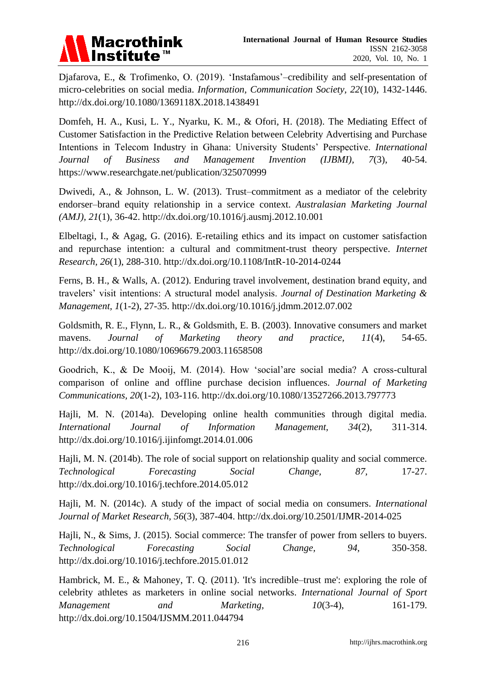

Djafarova, E., & Trofimenko, O. (2019). "Instafamous"–credibility and self-presentation of micro-celebrities on social media. *Information, Communication Society, 22*(10), 1432-1446. http://dx.doi.org/10.1080/1369118X.2018.1438491

Domfeh, H. A., Kusi, L. Y., Nyarku, K. M., & Ofori, H. (2018). The Mediating Effect of Customer Satisfaction in the Predictive Relation between Celebrity Advertising and Purchase Intentions in Telecom Industry in Ghana: University Students" Perspective. *International Journal of Business and Management Invention (IJBMI), 7*(3), 40-54. https://www.researchgate.net/publication/325070999

Dwivedi, A., & Johnson, L. W. (2013). Trust–commitment as a mediator of the celebrity endorser–brand equity relationship in a service context. *Australasian Marketing Journal (AMJ), 21*(1), 36-42. http://dx.doi.org/10.1016/j.ausmj.2012.10.001

Elbeltagi, I., & Agag, G. (2016). E-retailing ethics and its impact on customer satisfaction and repurchase intention: a cultural and commitment-trust theory perspective. *Internet Research, 26*(1), 288-310. http://dx.doi.org/10.1108/IntR-10-2014-0244

Ferns, B. H., & Walls, A. (2012). Enduring travel involvement, destination brand equity, and travelers" visit intentions: A structural model analysis. *Journal of Destination Marketing & Management, 1*(1-2), 27-35. http://dx.doi.org/10.1016/j.jdmm.2012.07.002

Goldsmith, R. E., Flynn, L. R., & Goldsmith, E. B. (2003). Innovative consumers and market mavens. *Journal of Marketing theory and practice, 11*(4), 54-65. http://dx.doi.org/10.1080/10696679.2003.11658508

Goodrich, K., & De Mooij, M. (2014). How "social"are social media? A cross-cultural comparison of online and offline purchase decision influences. *Journal of Marketing Communications, 20*(1-2), 103-116. http://dx.doi.org/10.1080/13527266.2013.797773

Hajli, M. N. (2014a). Developing online health communities through digital media. *International Journal of Information Management, 34*(2), 311-314. http://dx.doi.org/10.1016/j.ijinfomgt.2014.01.006

Hajli, M. N. (2014b). The role of social support on relationship quality and social commerce. *Technological Forecasting Social Change, 87,* 17-27. http://dx.doi.org/10.1016/j.techfore.2014.05.012

Hajli, M. N. (2014c). A study of the impact of social media on consumers. *International Journal of Market Research, 56*(3), 387-404. http://dx.doi.org/10.2501/IJMR-2014-025

Hajli, N., & Sims, J. (2015). Social commerce: The transfer of power from sellers to buyers. *Technological Forecasting Social Change, 94,* 350-358. http://dx.doi.org/10.1016/j.techfore.2015.01.012

Hambrick, M. E., & Mahoney, T. Q. (2011). 'It's incredible–trust me': exploring the role of celebrity athletes as marketers in online social networks. *International Journal of Sport Management and Marketing, 10*(3-4), 161-179. http://dx.doi.org/10.1504/IJSMM.2011.044794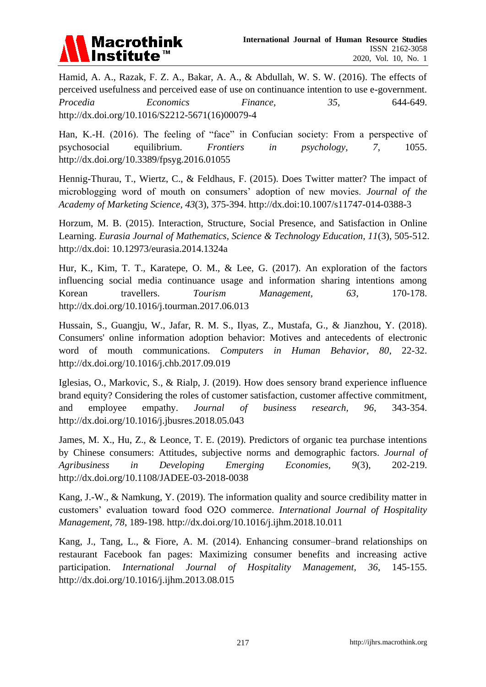

Hamid, A. A., Razak, F. Z. A., Bakar, A. A., & Abdullah, W. S. W. (2016). The effects of perceived usefulness and perceived ease of use on continuance intention to use e-government. *Procedia Economics Finance, 35,* 644-649. http://dx.doi.org/10.1016/S2212-5671(16)00079-4

Han, K.-H. (2016). The feeling of "face" in Confucian society: From a perspective of psychosocial equilibrium. *Frontiers in psychology, 7*, 1055. http://dx.doi.org/10.3389/fpsyg.2016.01055

Hennig-Thurau, T., Wiertz, C., & Feldhaus, F. (2015). Does Twitter matter? The impact of microblogging word of mouth on consumers" adoption of new movies. *Journal of the Academy of Marketing Science, 43*(3), 375-394. http://dx.doi:10.1007/s11747-014-0388-3

Horzum, M. B. (2015). Interaction, Structure, Social Presence, and Satisfaction in Online Learning. *Eurasia Journal of Mathematics, Science & Technology Education, 11*(3), 505-512. http://dx.doi: 10.12973/eurasia.2014.1324a

Hur, K., Kim, T. T., Karatepe, O. M., & Lee, G. (2017). An exploration of the factors influencing social media continuance usage and information sharing intentions among Korean travellers. *Tourism Management*, 63, 170-178. http://dx.doi.org/10.1016/j.tourman.2017.06.013

Hussain, S., Guangju, W., Jafar, R. M. S., Ilyas, Z., Mustafa, G., & Jianzhou, Y. (2018). Consumers' online information adoption behavior: Motives and antecedents of electronic word of mouth communications. *Computers in Human Behavior, 80*, 22-32. http://dx.doi.org/10.1016/j.chb.2017.09.019

Iglesias, O., Markovic, S., & Rialp, J. (2019). How does sensory brand experience influence brand equity? Considering the roles of customer satisfaction, customer affective commitment, and employee empathy. *Journal of business research, 96*, 343-354. http://dx.doi.org/10.1016/j.jbusres.2018.05.043

James, M. X., Hu, Z., & Leonce, T. E. (2019). Predictors of organic tea purchase intentions by Chinese consumers: Attitudes, subjective norms and demographic factors. *Journal of Agribusiness in Developing Emerging Economies, 9*(3), 202-219. http://dx.doi.org/10.1108/JADEE-03-2018-0038

Kang, J.-W., & Namkung, Y. (2019). The information quality and source credibility matter in customers" evaluation toward food O2O commerce. *International Journal of Hospitality Management, 78*, 189-198. http://dx.doi.org/10.1016/j.ijhm.2018.10.011

Kang, J., Tang, L., & Fiore, A. M. (2014). Enhancing consumer–brand relationships on restaurant Facebook fan pages: Maximizing consumer benefits and increasing active participation. *International Journal of Hospitality Management, 36*, 145-155. http://dx.doi.org/10.1016/j.ijhm.2013.08.015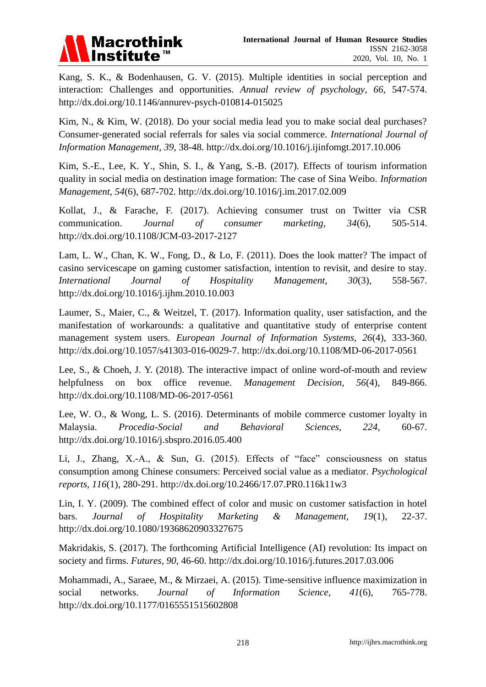

Kang, S. K., & Bodenhausen, G. V. (2015). Multiple identities in social perception and interaction: Challenges and opportunities. *Annual review of psychology, 66*, 547-574. http://dx.doi.org/10.1146/annurev-psych-010814-015025

Kim, N., & Kim, W. (2018). Do your social media lead you to make social deal purchases? Consumer-generated social referrals for sales via social commerce. *International Journal of Information Management, 39*, 38-48. http://dx.doi.org/10.1016/j.ijinfomgt.2017.10.006

Kim, S.-E., Lee, K. Y., Shin, S. I., & Yang, S.-B. (2017). Effects of tourism information quality in social media on destination image formation: The case of Sina Weibo. *Information Management, 54*(6), 687-702. http://dx.doi.org/10.1016/j.im.2017.02.009

Kollat, J., & Farache, F. (2017). Achieving consumer trust on Twitter via CSR communication. *Journal of consumer marketing, 34*(6), 505-514. http://dx.doi.org/10.1108/JCM-03-2017-2127

Lam, L. W., Chan, K. W., Fong, D., & Lo, F. (2011). Does the look matter? The impact of casino servicescape on gaming customer satisfaction, intention to revisit, and desire to stay. *International Journal of Hospitality Management, 30*(3), 558-567. http://dx.doi.org/10.1016/j.ijhm.2010.10.003

Laumer, S., Maier, C., & Weitzel, T. (2017). Information quality, user satisfaction, and the manifestation of workarounds: a qualitative and quantitative study of enterprise content management system users. *European Journal of Information Systems, 26*(4), 333-360. http://dx.doi.org/10.1057/s41303-016-0029-7. http://dx.doi.org/10.1108/MD-06-2017-0561

Lee, S., & Choeh, J. Y. (2018). The interactive impact of online word-of-mouth and review helpfulness on box office revenue. *Management Decision, 56*(4), 849-866. http://dx.doi.org/10.1108/MD-06-2017-0561

Lee, W. O., & Wong, L. S. (2016). Determinants of mobile commerce customer loyalty in Malaysia. *Procedia-Social and Behavioral Sciences, 224*, 60-67. http://dx.doi.org/10.1016/j.sbspro.2016.05.400

Li, J., Zhang, X.-A., & Sun, G. (2015). Effects of "face" consciousness on status consumption among Chinese consumers: Perceived social value as a mediator. *Psychological reports, 116*(1), 280-291. http://dx.doi.org/10.2466/17.07.PR0.116k11w3

Lin, I. Y. (2009). The combined effect of color and music on customer satisfaction in hotel bars. *Journal of Hospitality Marketing & Management, 19*(1), 22-37. http://dx.doi.org/10.1080/19368620903327675

Makridakis, S. (2017). The forthcoming Artificial Intelligence (AI) revolution: Its impact on society and firms. *Futures, 90*, 46-60. http://dx.doi.org/10.1016/j.futures.2017.03.006

Mohammadi, A., Saraee, M., & Mirzaei, A. (2015). Time-sensitive influence maximization in social networks. *Journal of Information Science, 41*(6), 765-778. http://dx.doi.org/10.1177/0165551515602808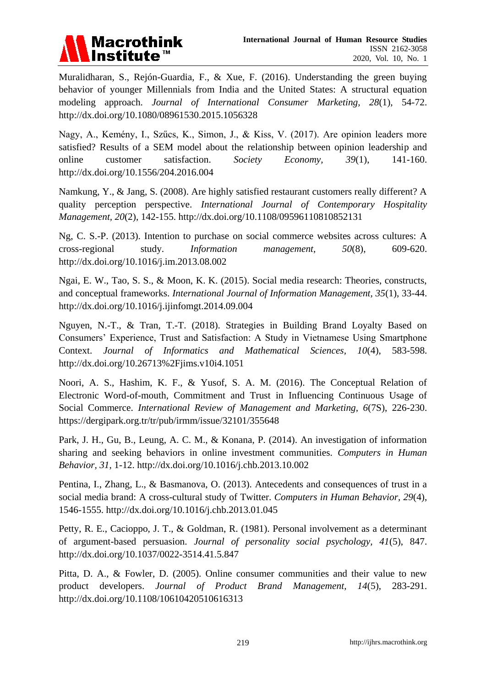

Muralidharan, S., Rejón-Guardia, F., & Xue, F. (2016). Understanding the green buying behavior of younger Millennials from India and the United States: A structural equation modeling approach. *Journal of International Consumer Marketing, 28*(1), 54-72. http://dx.doi.org/10.1080/08961530.2015.1056328

Nagy, A., Kemény, I., Szűcs, K., Simon, J., & Kiss, V. (2017). Are opinion leaders more satisfied? Results of a SEM model about the relationship between opinion leadership and online customer satisfaction. *Society Economy, 39*(1), 141-160. http://dx.doi.org/10.1556/204.2016.004

Namkung, Y., & Jang, S. (2008). Are highly satisfied restaurant customers really different? A quality perception perspective. *International Journal of Contemporary Hospitality Management, 20*(2), 142-155. http://dx.doi.org/10.1108/09596110810852131

Ng, C. S.-P. (2013). Intention to purchase on social commerce websites across cultures: A cross-regional study. *Information management, 50*(8), 609-620. http://dx.doi.org/10.1016/j.im.2013.08.002

Ngai, E. W., Tao, S. S., & Moon, K. K. (2015). Social media research: Theories, constructs, and conceptual frameworks. *International Journal of Information Management, 35*(1), 33-44. http://dx.doi.org/10.1016/j.ijinfomgt.2014.09.004

Nguyen, N.-T., & Tran, T.-T. (2018). Strategies in Building Brand Loyalty Based on Consumers" Experience, Trust and Satisfaction: A Study in Vietnamese Using Smartphone Context. *Journal of Informatics and Mathematical Sciences, 10*(4), 583-598. http://dx.doi.org/10.26713%2Fjims.v10i4.1051

Noori, A. S., Hashim, K. F., & Yusof, S. A. M. (2016). The Conceptual Relation of Electronic Word-of-mouth, Commitment and Trust in Influencing Continuous Usage of Social Commerce. *International Review of Management and Marketing, 6*(7S), 226-230. https://dergipark.org.tr/tr/pub/irmm/issue/32101/355648

Park, J. H., Gu, B., Leung, A. C. M., & Konana, P. (2014). An investigation of information sharing and seeking behaviors in online investment communities. *Computers in Human Behavior, 31*, 1-12. http://dx.doi.org/10.1016/j.chb.2013.10.002

Pentina, I., Zhang, L., & Basmanova, O. (2013). Antecedents and consequences of trust in a social media brand: A cross-cultural study of Twitter. *Computers in Human Behavior, 29*(4), 1546-1555. http://dx.doi.org/10.1016/j.chb.2013.01.045

Petty, R. E., Cacioppo, J. T., & Goldman, R. (1981). Personal involvement as a determinant of argument-based persuasion. *Journal of personality social psychology, 41*(5), 847. http://dx.doi.org/10.1037/0022-3514.41.5.847

Pitta, D. A., & Fowler, D. (2005). Online consumer communities and their value to new product developers. *Journal of Product Brand Management, 14*(5), 283-291. http://dx.doi.org/10.1108/10610420510616313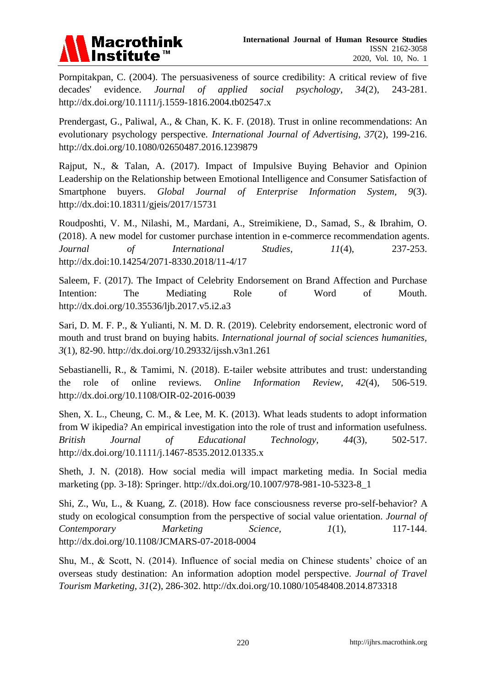

Pornpitakpan, C. (2004). The persuasiveness of source credibility: A critical review of five decades' evidence. *Journal of applied social psychology, 34*(2), 243-281. http://dx.doi.org/10.1111/j.1559-1816.2004.tb02547.x

Prendergast, G., Paliwal, A., & Chan, K. K. F. (2018). Trust in online recommendations: An evolutionary psychology perspective. *International Journal of Advertising, 37*(2), 199-216. http://dx.doi.org/10.1080/02650487.2016.1239879

Rajput, N., & Talan, A. (2017). Impact of Impulsive Buying Behavior and Opinion Leadership on the Relationship between Emotional Intelligence and Consumer Satisfaction of Smartphone buyers. *Global Journal of Enterprise Information System, 9*(3). http://dx.doi:10.18311/gjeis/2017/15731

Roudposhti, V. M., Nilashi, M., Mardani, A., Streimikiene, D., Samad, S., & Ibrahim, O. (2018). A new model for customer purchase intention in e-commerce recommendation agents. *Journal of International Studies, 11*(4), 237-253. http://dx.doi:10.14254/2071-8330.2018/11-4/17

Saleem, F. (2017). The Impact of Celebrity Endorsement on Brand Affection and Purchase Intention: The Mediating Role of Word of Mouth. http://dx.doi.org/10.35536/ljb.2017.v5.i2.a3

Sari, D. M. F. P., & Yulianti, N. M. D. R. (2019). Celebrity endorsement, electronic word of mouth and trust brand on buying habits. *International journal of social sciences humanities, 3*(1), 82-90. http://dx.doi.org/10.29332/ijssh.v3n1.261

Sebastianelli, R., & Tamimi, N. (2018). E-tailer website attributes and trust: understanding the role of online reviews. *Online Information Review, 42*(4), 506-519. http://dx.doi.org/10.1108/OIR-02-2016-0039

Shen, X. L., Cheung, C. M., & Lee, M. K. (2013). What leads students to adopt information from W ikipedia? An empirical investigation into the role of trust and information usefulness. *British Journal of Educational Technology, 44*(3), 502-517. http://dx.doi.org/10.1111/j.1467-8535.2012.01335.x

Sheth, J. N. (2018). How social media will impact marketing media. In Social media marketing (pp. 3-18): Springer. http://dx.doi.org/10.1007/978-981-10-5323-8\_1

Shi, Z., Wu, L., & Kuang, Z. (2018). How face consciousness reverse pro-self-behavior? A study on ecological consumption from the perspective of social value orientation. *Journal of Contemporary Marketing Science, 1(1), 117-144.* http://dx.doi.org/10.1108/JCMARS-07-2018-0004

Shu, M., & Scott, N. (2014). Influence of social media on Chinese students' choice of an overseas study destination: An information adoption model perspective. *Journal of Travel Tourism Marketing, 31*(2), 286-302. http://dx.doi.org/10.1080/10548408.2014.873318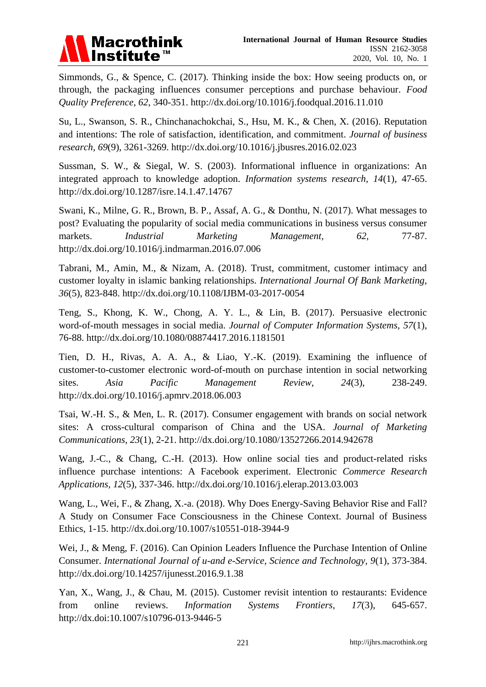

Simmonds, G., & Spence, C. (2017). Thinking inside the box: How seeing products on, or through, the packaging influences consumer perceptions and purchase behaviour. *Food Quality Preference, 62*, 340-351. http://dx.doi.org/10.1016/j.foodqual.2016.11.010

Su, L., Swanson, S. R., Chinchanachokchai, S., Hsu, M. K., & Chen, X. (2016). Reputation and intentions: The role of satisfaction, identification, and commitment. *Journal of business research, 69*(9), 3261-3269. http://dx.doi.org/10.1016/j.jbusres.2016.02.023

Sussman, S. W., & Siegal, W. S. (2003). Informational influence in organizations: An integrated approach to knowledge adoption. *Information systems research, 14*(1), 47-65. http://dx.doi.org/10.1287/isre.14.1.47.14767

Swani, K., Milne, G. R., Brown, B. P., Assaf, A. G., & Donthu, N. (2017). What messages to post? Evaluating the popularity of social media communications in business versus consumer markets. *Industrial Marketing Management*, 62, 77-87. http://dx.doi.org/10.1016/j.indmarman.2016.07.006

Tabrani, M., Amin, M., & Nizam, A. (2018). Trust, commitment, customer intimacy and customer loyalty in islamic banking relationships. *International Journal Of Bank Marketing, 36*(5), 823-848. http://dx.doi.org/10.1108/IJBM-03-2017-0054

Teng, S., Khong, K. W., Chong, A. Y. L., & Lin, B. (2017). Persuasive electronic word-of-mouth messages in social media. *Journal of Computer Information Systems, 57*(1), 76-88. http://dx.doi.org/10.1080/08874417.2016.1181501

Tien, D. H., Rivas, A. A. A., & Liao, Y.-K. (2019). Examining the influence of customer-to-customer electronic word-of-mouth on purchase intention in social networking sites. *Asia Pacific Management Review, 24*(3), 238-249. http://dx.doi.org/10.1016/j.apmrv.2018.06.003

Tsai, W.-H. S., & Men, L. R. (2017). Consumer engagement with brands on social network sites: A cross-cultural comparison of China and the USA. *Journal of Marketing Communications, 23*(1), 2-21. http://dx.doi.org/10.1080/13527266.2014.942678

Wang, J.-C., & Chang, C.-H. (2013). How online social ties and product-related risks influence purchase intentions: A Facebook experiment. Electronic *Commerce Research Applications, 12*(5), 337-346. http://dx.doi.org/10.1016/j.elerap.2013.03.003

Wang, L., Wei, F., & Zhang, X.-a. (2018). Why Does Energy-Saving Behavior Rise and Fall? A Study on Consumer Face Consciousness in the Chinese Context. Journal of Business Ethics, 1-15. http://dx.doi.org/10.1007/s10551-018-3944-9

Wei, J., & Meng, F. (2016). Can Opinion Leaders Influence the Purchase Intention of Online Consumer. *International Journal of u-and e-Service, Science and Technology, 9*(1), 373-384. http://dx.doi.org/10.14257/ijunesst.2016.9.1.38

Yan, X., Wang, J., & Chau, M. (2015). Customer revisit intention to restaurants: Evidence from online reviews. *Information Systems Frontiers, 17*(3), 645-657. http://dx.doi:10.1007/s10796-013-9446-5